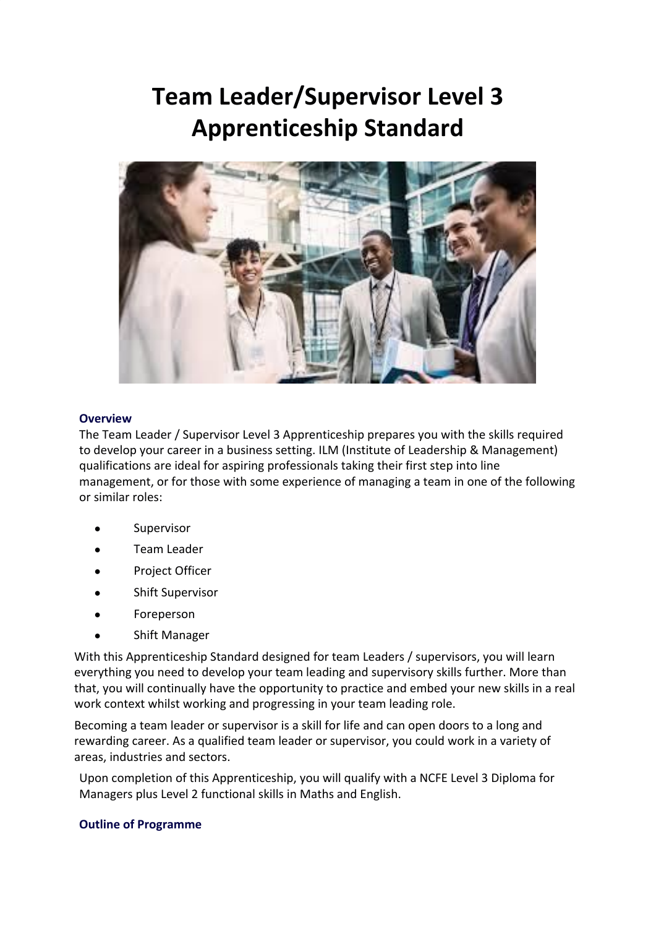# **Team Leader/Supervisor Level 3 Apprenticeship Standard**



## **Overview**

The Team Leader / Supervisor Level 3 Apprenticeship prepares you with the skills required to develop your career in a business setting. ILM (Institute of Leadership & Management) qualifications are ideal for aspiring professionals taking their first step into line management, or for those with some experience of managing a team in one of the following or similar roles:

- Supervisor
- Team Leader
- Project Officer
- Shift Supervisor
- **Foreperson**
- Shift Manager

With this Apprenticeship Standard designed for team Leaders / supervisors, you will learn everything you need to develop your team leading and supervisory skills further. More than that, you will continually have the opportunity to practice and embed your new skills in a real work context whilst working and progressing in your team leading role.

Becoming a team leader or supervisor is a skill for life and can open doors to a long and rewarding career. As a qualified team leader or supervisor, you could work in a variety of areas, industries and sectors.

Upon completion of this Apprenticeship, you will qualify with a NCFE Level 3 Diploma for Managers plus Level 2 functional skills in Maths and English.

### **Outline of Programme**